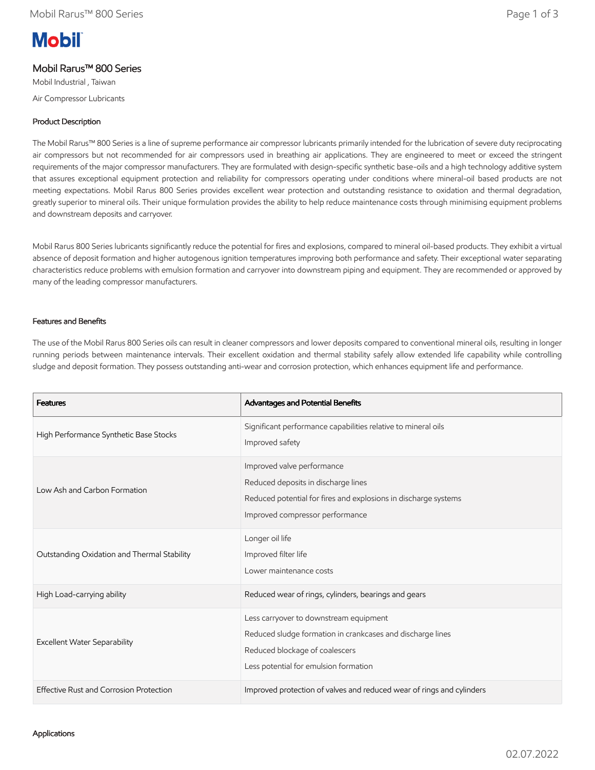# **Mobil**

## Mobil Rarus™ 800 Series

Mobil Industrial , Taiwan

Air Compressor Lubricants

### Product Description

The Mobil Rarus™ 800 Series is a line of supreme performance air compressor lubricants primarily intended for the lubrication of severe duty reciprocating air compressors but not recommended for air compressors used in breathing air applications. They are engineered to meet or exceed the stringent requirements of the major compressor manufacturers. They are formulated with design-specific synthetic base-oils and a high technology additive system that assures exceptional equipment protection and reliability for compressors operating under conditions where mineral-oil based products are not meeting expectations. Mobil Rarus 800 Series provides excellent wear protection and outstanding resistance to oxidation and thermal degradation, greatly superior to mineral oils. Their unique formulation provides the ability to help reduce maintenance costs through minimising equipment problems and downstream deposits and carryover.

Mobil Rarus 800 Series lubricants significantly reduce the potential for fires and explosions, compared to mineral oil-based products. They exhibit a virtual absence of deposit formation and higher autogenous ignition temperatures improving both performance and safety. Their exceptional water separating characteristics reduce problems with emulsion formation and carryover into downstream piping and equipment. They are recommended or approved by many of the leading compressor manufacturers.

#### Features and Benefits

The use of the Mobil Rarus 800 Series oils can result in cleaner compressors and lower deposits compared to conventional mineral oils, resulting in longer running periods between maintenance intervals. Their excellent oxidation and thermal stability safely allow extended life capability while controlling sludge and deposit formation. They possess outstanding anti-wear and corrosion protection, which enhances equipment life and performance.

| <b>Features</b>                             | Advantages and Potential Benefits                                                                                                                                               |
|---------------------------------------------|---------------------------------------------------------------------------------------------------------------------------------------------------------------------------------|
| High Performance Synthetic Base Stocks      | Significant performance capabilities relative to mineral oils<br>Improved safety                                                                                                |
| Low Ash and Carbon Formation                | Improved valve performance<br>Reduced deposits in discharge lines<br>Reduced potential for fires and explosions in discharge systems<br>Improved compressor performance         |
| Outstanding Oxidation and Thermal Stability | Longer oil life<br>Improved filter life<br>Lower maintenance costs                                                                                                              |
| High Load-carrying ability                  | Reduced wear of rings, cylinders, bearings and gears                                                                                                                            |
| <b>Excellent Water Separability</b>         | Less carryover to downstream equipment<br>Reduced sludge formation in crankcases and discharge lines<br>Reduced blockage of coalescers<br>Less potential for emulsion formation |
| Effective Rust and Corrosion Protection     | Improved protection of valves and reduced wear of rings and cylinders                                                                                                           |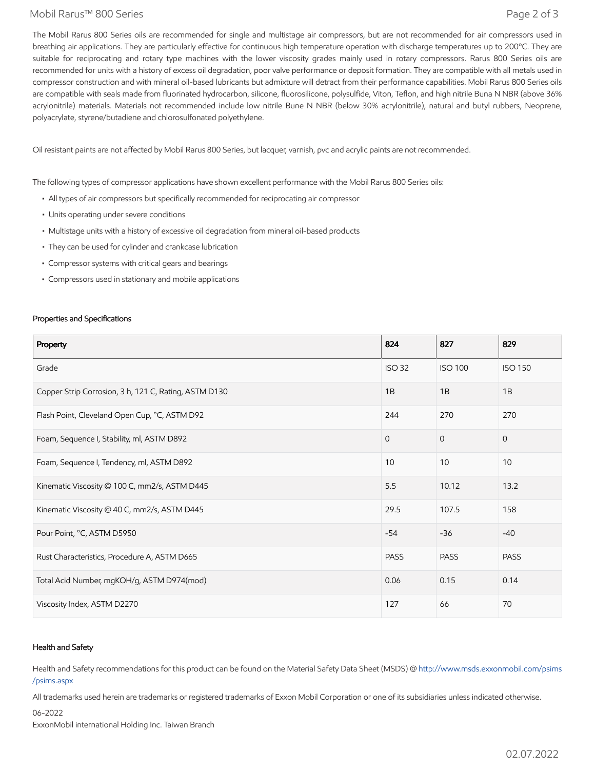#### Mobil Rarus™ 800 Series Page 2 of 3

The Mobil Rarus 800 Series oils are recommended for single and multistage air compressors, but are not recommended for air compressors used in breathing air applications. They are particularly effective for continuous high temperature operation with discharge temperatures up to 200°C. They are suitable for reciprocating and rotary type machines with the lower viscosity grades mainly used in rotary compressors. Rarus 800 Series oils are recommended for units with a history of excess oil degradation, poor valve performance or deposit formation. They are compatible with all metals used in compressor construction and with mineral oil-based lubricants but admixture will detract from their performance capabilities. Mobil Rarus 800 Series oils are compatible with seals made from fluorinated hydrocarbon, silicone, fluorosilicone, polysulfide, Viton, Teflon, and high nitrile Buna N NBR (above 36% acrylonitrile) materials. Materials not recommended include low nitrile Bune N NBR (below 30% acrylonitrile), natural and butyl rubbers, Neoprene, polyacrylate, styrene/butadiene and chlorosulfonated polyethylene.

Oil resistant paints are not affected by Mobil Rarus 800 Series, but lacquer, varnish, pvc and acrylic paints are not recommended.

The following types of compressor applications have shown excellent performance with the Mobil Rarus 800 Series oils:

- All types of air compressors but specifically recommended for reciprocating air compressor
- Units operating under severe conditions
- Multistage units with a history of excessive oil degradation from mineral oil-based products
- They can be used for cylinder and crankcase lubrication
- Compressor systems with critical gears and bearings
- Compressors used in stationary and mobile applications

#### Properties and Specifications

| Property                                              | 824           | 827            | 829            |
|-------------------------------------------------------|---------------|----------------|----------------|
| Grade                                                 | <b>ISO 32</b> | <b>ISO 100</b> | <b>ISO 150</b> |
| Copper Strip Corrosion, 3 h, 121 C, Rating, ASTM D130 | 1B            | 1B             | 1B             |
| Flash Point, Cleveland Open Cup, °C, ASTM D92         | 244           | 270            | 270            |
| Foam, Sequence I, Stability, ml, ASTM D892            | $\Omega$      | $\Omega$       | $\mathbf{0}$   |
| Foam, Sequence I, Tendency, ml, ASTM D892             | 10            | 10             | 10             |
| Kinematic Viscosity @ 100 C, mm2/s, ASTM D445         | 5.5           | 10.12          | 13.2           |
| Kinematic Viscosity @ 40 C, mm2/s, ASTM D445          | 29.5          | 107.5          | 158            |
| Pour Point, °C, ASTM D5950                            | $-54$         | $-36$          | $-40$          |
| Rust Characteristics, Procedure A, ASTM D665          | <b>PASS</b>   | <b>PASS</b>    | <b>PASS</b>    |
| Total Acid Number, mgKOH/g, ASTM D974(mod)            | 0.06          | 0.15           | 0.14           |
| Viscosity Index, ASTM D2270                           | 127           | 66             | 70             |

#### Health and Safety

Health and Safety recommendations for this product can be found on the Material Safety Data Sheet (MSDS) @ [http://www.msds.exxonmobil.com/psims](http://www.msds.exxonmobil.com/psims/psims.aspx) /psims.aspx

All trademarks used herein are trademarks or registered trademarks of Exxon Mobil Corporation or one of its subsidiaries unless indicated otherwise.

06-2022

ExxonMobil international Holding Inc. Taiwan Branch